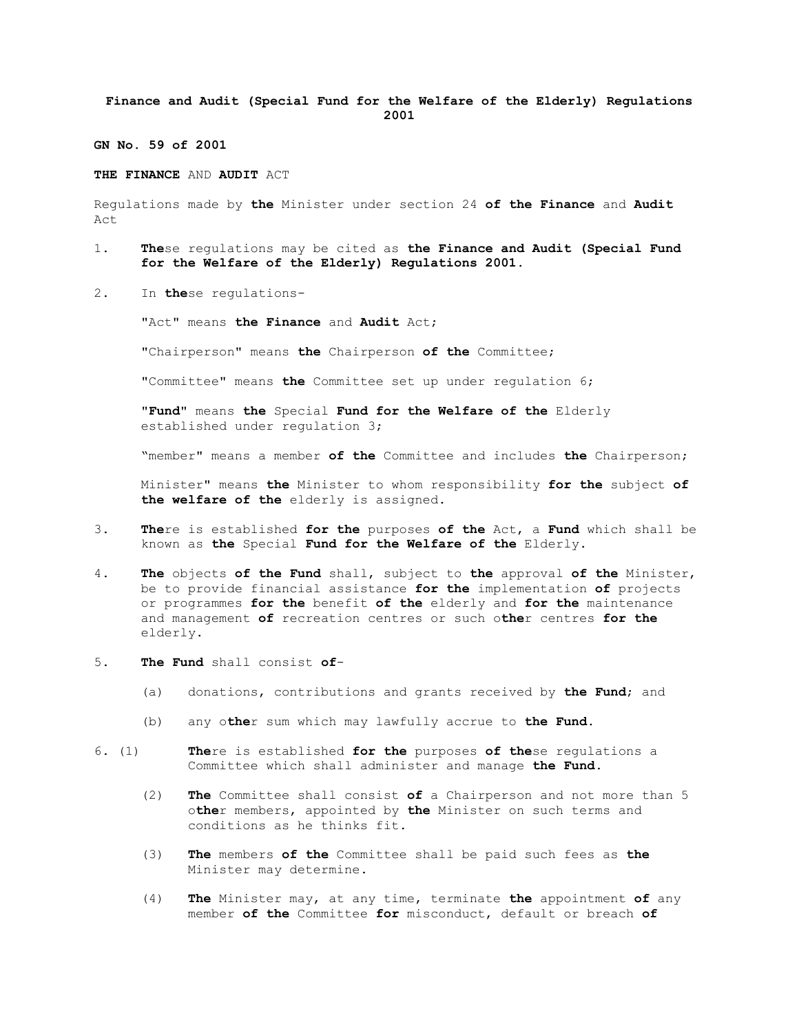## **Finance and Audit (Special Fund for the Welfare of the Elderly) Regulations 2001**

**GN No. 59 of 2001**

## **THE FINANCE** AND **AUDIT** ACT

Regulations made by **the** Minister under section 24 **of the Finance** and **Audit** Act

- 1. **The**se regulations may be cited as **the Finance and Audit (Special Fund for the Welfare of the Elderly) Regulations 2001**.
- 2. In **the**se regulations-

"Act" means **the Finance** and **Audit** Act;

"Chairperson" means **the** Chairperson **of the** Committee;

"Committee" means **the** Committee set up under regulation 6;

"**Fund**" means **the** Special **Fund for the Welfare of the** Elderly established under regulation 3;

"member" means a member **of the** Committee and includes **the** Chairperson;

Minister" means **the** Minister to whom responsibility **for the** subject **of the welfare of the** elderly is assigned.

- 3. **The**re is established **for the** purposes **of the** Act, a **Fund** which shall be known as **the** Special **Fund for the Welfare of the** Elderly.
- 4. **The** objects **of the Fund** shall, subject to **the** approval **of the** Minister, be to provide financial assistance **for the** implementation **of** projects or programmes **for the** benefit **of the** elderly and **for the** maintenance and management **of** recreation centres or such o**the**r centres **for the** elderly.
- 5. **The Fund** shall consist **of**
	- (a) donations, contributions and grants received by **the Fund**; and
	- (b) any o**the**r sum which may lawfully accrue to **the Fund**.
- 6. (1) **The**re is established **for the** purposes **of the**se regulations a Committee which shall administer and manage **the Fund**.
	- (2) **The** Committee shall consist **of** a Chairperson and not more than 5 o**the**r members, appointed by **the** Minister on such terms and conditions as he thinks fit.
	- (3) **The** members **of the** Committee shall be paid such fees as **the** Minister may determine.
	- (4) **The** Minister may, at any time, terminate **the** appointment **of** any member **of the** Committee **for** misconduct, default or breach **of**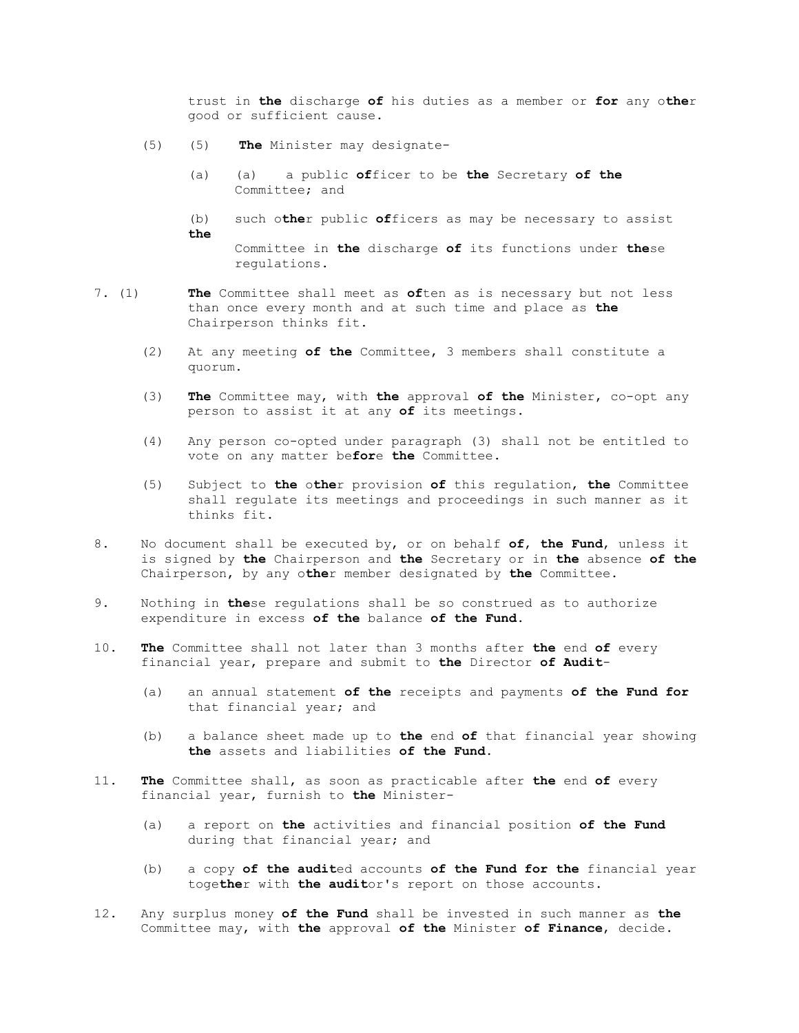trust in **the** discharge **of** his duties as a member or **for** any o**the**r good or sufficient cause.

- (5) (5) **The** Minister may designate-
	- (a) (a) a public **of**ficer to be **the** Secretary **of the** Committee; and
	- (b) such o**the**r public **of**ficers as may be necessary to assist **the**

Committee in **the** discharge **of** its functions under **the**se regulations.

- 7. (1) **The** Committee shall meet as **of**ten as is necessary but not less than once every month and at such time and place as **the** Chairperson thinks fit.
	- (2) At any meeting **of the** Committee, 3 members shall constitute a quorum.
	- (3) **The** Committee may, with **the** approval **of the** Minister, co-opt any person to assist it at any **of** its meetings.
	- (4) Any person co-opted under paragraph (3) shall not be entitled to vote on any matter be**for**e **the** Committee.
	- (5) Subject to **the** o**the**r provision **of** this regulation, **the** Committee shall regulate its meetings and proceedings in such manner as it thinks fit.
- 8. No document shall be executed by, or on behalf **of**, **the Fund**, unless it is signed by **the** Chairperson and **the** Secretary or in **the** absence **of the** Chairperson, by any o**the**r member designated by **the** Committee.
- 9. Nothing in **the**se regulations shall be so construed as to authorize expenditure in excess **of the** balance **of the Fund**.
- 10. **The** Committee shall not later than 3 months after **the** end **of** every financial year, prepare and submit to **the** Director **of Audit**-
	- (a) an annual statement **of the** receipts and payments **of the Fund for** that financial year; and
	- (b) a balance sheet made up to **the** end **of** that financial year showing **the** assets and liabilities **of the Fund**.
- 11. **The** Committee shall, as soon as practicable after **the** end **of** every financial year, furnish to **the** Minister-
	- (a) a report on **the** activities and financial position **of the Fund** during that financial year; and
	- (b) a copy **of the audit**ed accounts **of the Fund for the** financial year toge**the**r with **the audit**or's report on those accounts.
- 12. Any surplus money **of the Fund** shall be invested in such manner as **the** Committee may, with **the** approval **of the** Minister **of Finance**, decide.